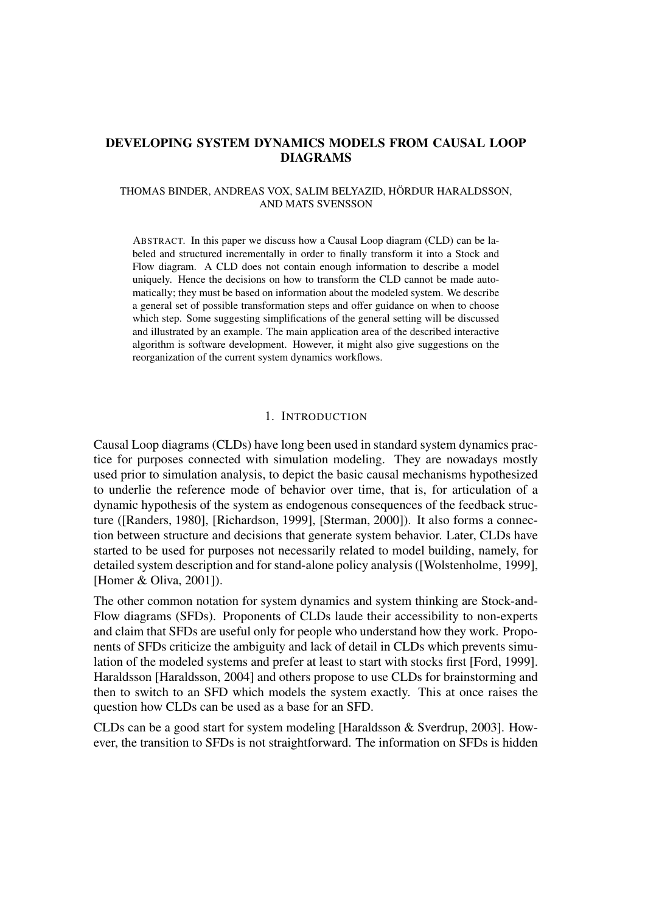# **DEVELOPING SYSTEM DYNAMICS MODELS FROM CAUSAL LOOP DIAGRAMS**

### THOMAS BINDER, ANDREAS VOX, SALIM BELYAZID, HÖRDUR HARALDSSON, AND MATS SVENSSON

ABSTRACT. In this paper we discuss how a Causal Loop diagram (CLD) can be labeled and structured incrementally in order to finally transform it into a Stock and Flow diagram. A CLD does not contain enough information to describe a model uniquely. Hence the decisions on how to transform the CLD cannot be made automatically; they must be based on information about the modeled system. We describe a general set of possible transformation steps and offer guidance on when to choose which step. Some suggesting simplifications of the general setting will be discussed and illustrated by an example. The main application area of the described interactive algorithm is software development. However, it might also give suggestions on the reorganization of the current system dynamics workflows.

#### 1. INTRODUCTION

Causal Loop diagrams (CLDs) have long been used in standard system dynamics practice for purposes connected with simulation modeling. They are nowadays mostly used prior to simulation analysis, to depict the basic causal mechanisms hypothesized to underlie the reference mode of behavior over time, that is, for articulation of a dynamic hypothesis of the system as endogenous consequences of the feedback structure ([Randers, 1980], [Richardson, 1999], [Sterman, 2000]). It also forms a connection between structure and decisions that generate system behavior. Later, CLDs have started to be used for purposes not necessarily related to model building, namely, for detailed system description and for stand-alone policy analysis ([Wolstenholme, 1999], [Homer & Oliva, 2001]).

The other common notation for system dynamics and system thinking are Stock-and-Flow diagrams (SFDs). Proponents of CLDs laude their accessibility to non-experts and claim that SFDs are useful only for people who understand how they work. Proponents of SFDs criticize the ambiguity and lack of detail in CLDs which prevents simulation of the modeled systems and prefer at least to start with stocks first [Ford, 1999]. Haraldsson [Haraldsson, 2004] and others propose to use CLDs for brainstorming and then to switch to an SFD which models the system exactly. This at once raises the question how CLDs can be used as a base for an SFD.

CLDs can be a good start for system modeling [Haraldsson & Sverdrup, 2003]. However, the transition to SFDs is not straightforward. The information on SFDs is hidden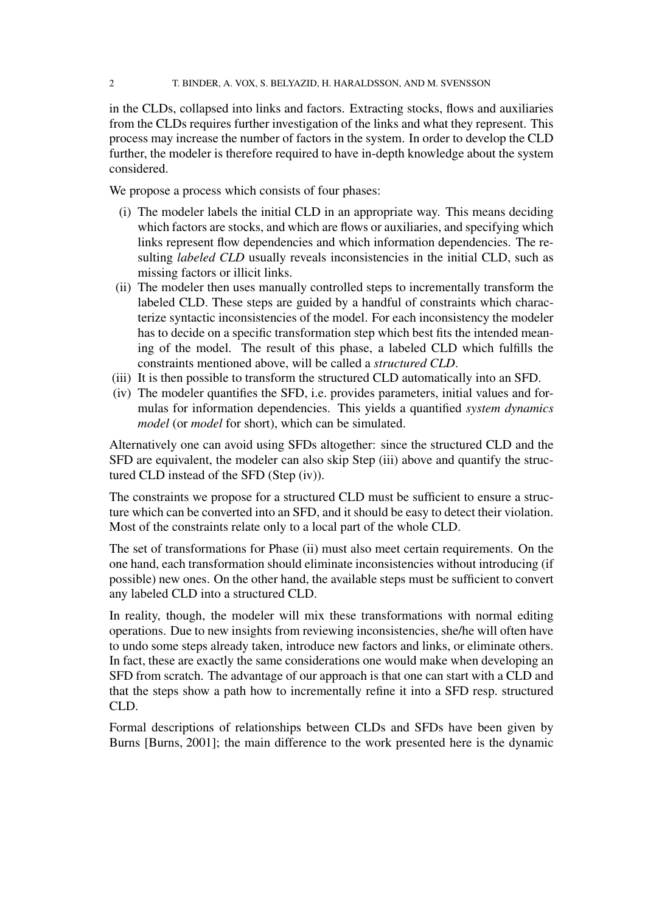in the CLDs, collapsed into links and factors. Extracting stocks, flows and auxiliaries from the CLDs requires further investigation of the links and what they represent. This process may increase the number of factors in the system. In order to develop the CLD further, the modeler is therefore required to have in-depth knowledge about the system considered.

We propose a process which consists of four phases:

- (i) The modeler labels the initial CLD in an appropriate way. This means deciding which factors are stocks, and which are flows or auxiliaries, and specifying which links represent flow dependencies and which information dependencies. The resulting *labeled CLD* usually reveals inconsistencies in the initial CLD, such as missing factors or illicit links.
- (ii) The modeler then uses manually controlled steps to incrementally transform the labeled CLD. These steps are guided by a handful of constraints which characterize syntactic inconsistencies of the model. For each inconsistency the modeler has to decide on a specific transformation step which best fits the intended meaning of the model. The result of this phase, a labeled CLD which fulfills the constraints mentioned above, will be called a *structured CLD*.
- (iii) It is then possible to transform the structured CLD automatically into an SFD.
- (iv) The modeler quantifies the SFD, i.e. provides parameters, initial values and formulas for information dependencies. This yields a quantified *system dynamics model* (or *model* for short), which can be simulated.

Alternatively one can avoid using SFDs altogether: since the structured CLD and the SFD are equivalent, the modeler can also skip Step (iii) above and quantify the structured CLD instead of the SFD (Step (iv)).

The constraints we propose for a structured CLD must be sufficient to ensure a structure which can be converted into an SFD, and it should be easy to detect their violation. Most of the constraints relate only to a local part of the whole CLD.

The set of transformations for Phase (ii) must also meet certain requirements. On the one hand, each transformation should eliminate inconsistencies without introducing (if possible) new ones. On the other hand, the available steps must be sufficient to convert any labeled CLD into a structured CLD.

In reality, though, the modeler will mix these transformations with normal editing operations. Due to new insights from reviewing inconsistencies, she/he will often have to undo some steps already taken, introduce new factors and links, or eliminate others. In fact, these are exactly the same considerations one would make when developing an SFD from scratch. The advantage of our approach is that one can start with a CLD and that the steps show a path how to incrementally refine it into a SFD resp. structured CLD.

Formal descriptions of relationships between CLDs and SFDs have been given by Burns [Burns, 2001]; the main difference to the work presented here is the dynamic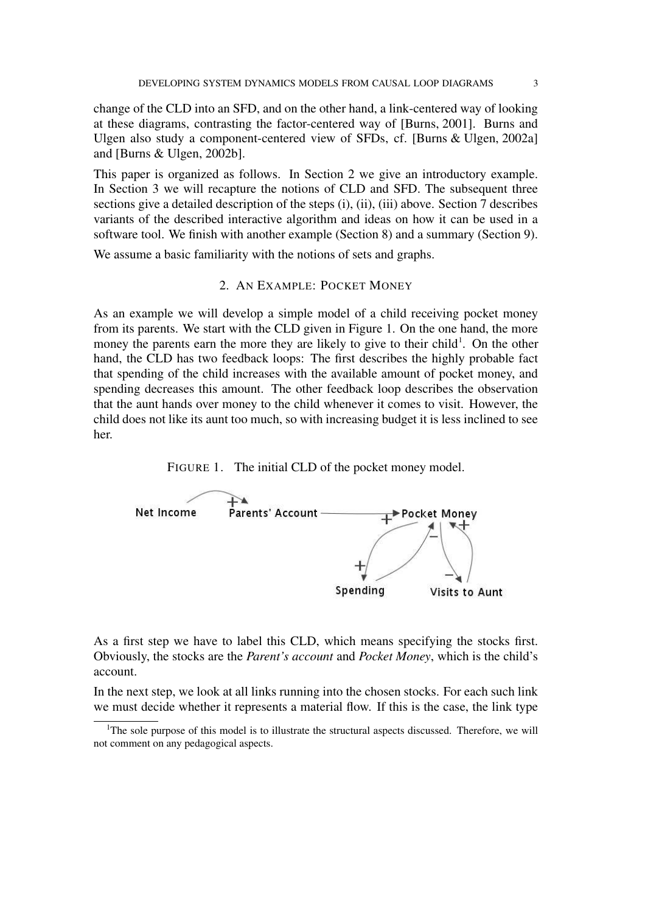change of the CLD into an SFD, and on the other hand, a link-centered way of looking at these diagrams, contrasting the factor-centered way of [Burns, 2001]. Burns and Ulgen also study a component-centered view of SFDs, cf. [Burns & Ulgen, 2002a] and [Burns & Ulgen, 2002b].

This paper is organized as follows. In Section 2 we give an introductory example. In Section 3 we will recapture the notions of CLD and SFD. The subsequent three sections give a detailed description of the steps (i), (ii), (iii) above. Section 7 describes variants of the described interactive algorithm and ideas on how it can be used in a software tool. We finish with another example (Section 8) and a summary (Section 9).

We assume a basic familiarity with the notions of sets and graphs.

### 2. AN EXAMPLE: POCKET MONEY

As an example we will develop a simple model of a child receiving pocket money from its parents. We start with the CLD given in Figure 1. On the one hand, the more money the parents earn the more they are likely to give to their child<sup>1</sup>. On the other hand, the CLD has two feedback loops: The first describes the highly probable fact that spending of the child increases with the available amount of pocket money, and spending decreases this amount. The other feedback loop describes the observation that the aunt hands over money to the child whenever it comes to visit. However, the child does not like its aunt too much, so with increasing budget it is less inclined to see her.





As a first step we have to label this CLD, which means specifying the stocks first. Obviously, the stocks are the *Parent's account* and *Pocket Money*, which is the child's account.

In the next step, we look at all links running into the chosen stocks. For each such link we must decide whether it represents a material flow. If this is the case, the link type

<sup>&</sup>lt;sup>1</sup>The sole purpose of this model is to illustrate the structural aspects discussed. Therefore, we will not comment on any pedagogical aspects.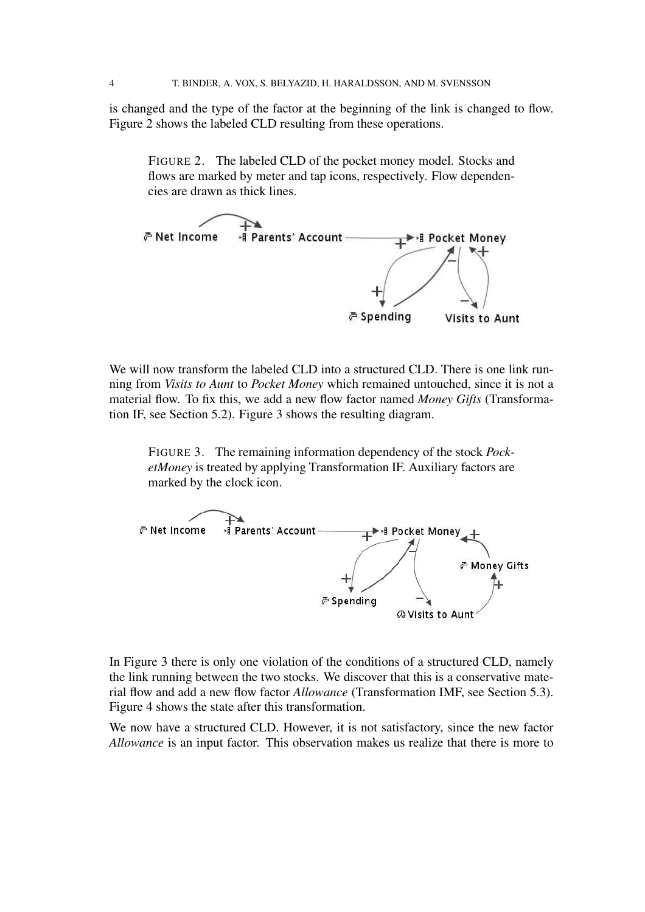is changed and the type of the factor at the beginning of the link is changed to flow. Figure 2 shows the labeled CLD resulting from these operations.

FIGURE 2. The labeled CLD of the pocket money model. Stocks and flows are marked by meter and tap icons, respectively. Flow dependencies are drawn as thick lines.



We will now transform the labeled CLD into a structured CLD. There is one link running from *Visits to Aunt* to *Pocket Money* which remained untouched, since it is not a material flow. To fix this, we add a new flow factor named *Money Gifts* (Transformation IF, see Section 5.2). Figure 3 shows the resulting diagram.

FIGURE 3. The remaining information dependency of the stock *PocketMoney* is treated by applying Transformation IF. Auxiliary factors are marked by the clock icon.



In Figure 3 there is only one violation of the conditions of a structured CLD, namely the link running between the two stocks. We discover that this is a conservative material flow and add a new flow factor *Allowance* (Transformation IMF, see Section 5.3). Figure 4 shows the state after this transformation.

We now have a structured CLD. However, it is not satisfactory, since the new factor *Allowance* is an input factor. This observation makes us realize that there is more to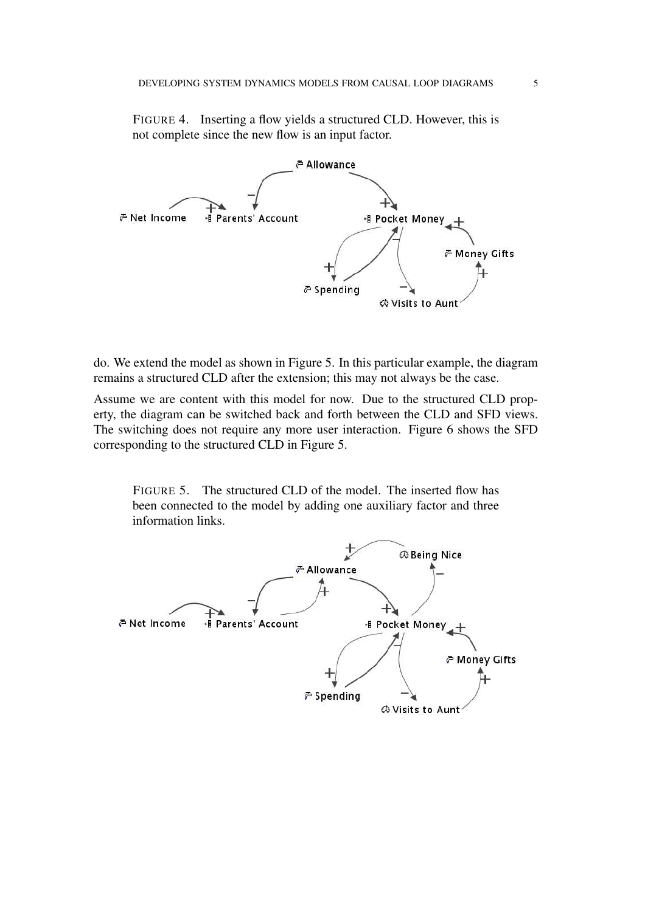FIGURE 4. Inserting a flow yields a structured CLD. However, this is not complete since the new flow is an input factor.



do. We extend the model as shown in Figure 5. In this particular example, the diagram remains a structured CLD after the extension; this may not always be the case.

Assume we are content with this model for now. Due to the structured CLD property, the diagram can be switched back and forth between the CLD and SFD views. The switching does not require any more user interaction. Figure 6 shows the SFD corresponding to the structured CLD in Figure 5.

FIGURE 5. The structured CLD of the model. The inserted flow has been connected to the model by adding one auxiliary factor and three information links.

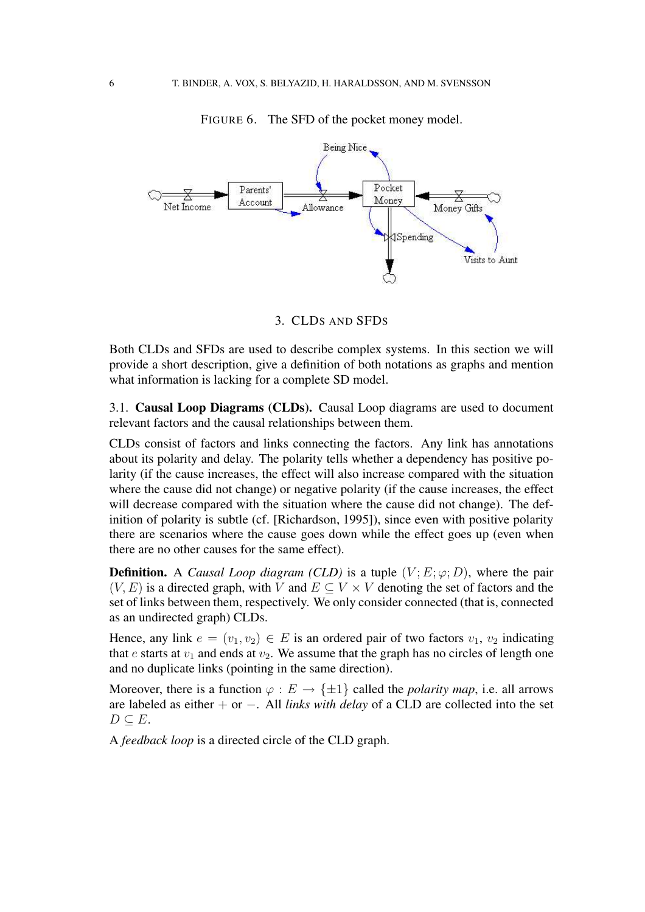

FIGURE 6. The SFD of the pocket money model.

3. CLDS AND SFDS

Both CLDs and SFDs are used to describe complex systems. In this section we will provide a short description, give a definition of both notations as graphs and mention what information is lacking for a complete SD model.

3.1. **Causal Loop Diagrams (CLDs).** Causal Loop diagrams are used to document relevant factors and the causal relationships between them.

CLDs consist of factors and links connecting the factors. Any link has annotations about its polarity and delay. The polarity tells whether a dependency has positive polarity (if the cause increases, the effect will also increase compared with the situation where the cause did not change) or negative polarity (if the cause increases, the effect will decrease compared with the situation where the cause did not change). The definition of polarity is subtle (cf. [Richardson, 1995]), since even with positive polarity there are scenarios where the cause goes down while the effect goes up (even when there are no other causes for the same effect).

**Definition.** A *Causal Loop diagram (CLD)* is a tuple  $(V; E; \varphi; D)$ , where the pair  $(V, E)$  is a directed graph, with V and  $E \subseteq V \times V$  denoting the set of factors and the set of links between them, respectively. We only consider connected (that is, connected as an undirected graph) CLDs.

Hence, any link  $e = (v_1, v_2) \in E$  is an ordered pair of two factors  $v_1, v_2$  indicating that  $e$  starts at  $v_1$  and ends at  $v_2$ . We assume that the graph has no circles of length one and no duplicate links (pointing in the same direction).

Moreover, there is a function  $\varphi : E \to \{\pm 1\}$  called the *polarity map*, i.e. all arrows are labeled as either + or −. All *links with delay* of a CLD are collected into the set  $D \subseteq E$ .

A *feedback loop* is a directed circle of the CLD graph.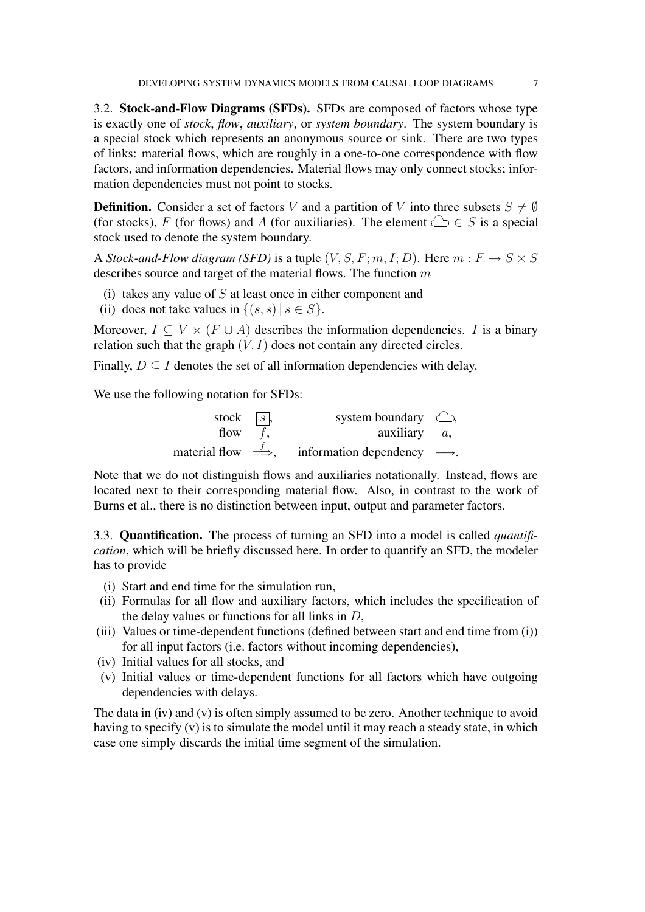3.2. **Stock-and-Flow Diagrams (SFDs).** SFDs are composed of factors whose type is exactly one of *stock*, *flow*, *auxiliary*, or *system boundary*. The system boundary is a special stock which represents an anonymous source or sink. There are two types of links: material flows, which are roughly in a one-to-one correspondence with flow factors, and information dependencies. Material flows may only connect stocks; information dependencies must not point to stocks.

**Definition.** Consider a set of factors V and a partition of V into three subsets  $S \neq \emptyset$ (for stocks), F (for flows) and A (for auxiliaries). The element  $\bigcirc \in S$  is a special stock used to denote the system boundary.

A *Stock-and-Flow diagram (SFD)* is a tuple  $(V, S, F; m, I; D)$ . Here  $m : F \rightarrow S \times S$ describes source and target of the material flows. The function  $m$ 

- (i) takes any value of  $S$  at least once in either component and
- (ii) does not take values in  $\{(s, s) | s \in S\}.$

Moreover,  $I \subseteq V \times (F \cup A)$  describes the information dependencies. I is a binary relation such that the graph  $(V, I)$  does not contain any directed circles.

Finally,  $D \subseteq I$  denotes the set of all information dependencies with delay.

We use the following notation for SFDs:

| stock $\boxed{s}$ , | system boundary $\bigcirc$ ,                                         |  |
|---------------------|----------------------------------------------------------------------|--|
| flow $f$ ,          | auxiliary $a$ ,                                                      |  |
|                     | material flow $\Rightarrow$ , information dependency $\rightarrow$ . |  |

Note that we do not distinguish flows and auxiliaries notationally. Instead, flows are located next to their corresponding material flow. Also, in contrast to the work of Burns et al., there is no distinction between input, output and parameter factors.

3.3. **Quantification.** The process of turning an SFD into a model is called *quantification*, which will be briefly discussed here. In order to quantify an SFD, the modeler has to provide

- (i) Start and end time for the simulation run,
- (ii) Formulas for all flow and auxiliary factors, which includes the specification of the delay values or functions for all links in  $D$ ,
- (iii) Values or time-dependent functions (defined between start and end time from (i)) for all input factors (i.e. factors without incoming dependencies),
- (iv) Initial values for all stocks, and
- (v) Initial values or time-dependent functions for all factors which have outgoing dependencies with delays.

The data in (iv) and (v) is often simply assumed to be zero. Another technique to avoid having to specify (v) is to simulate the model until it may reach a steady state, in which case one simply discards the initial time segment of the simulation.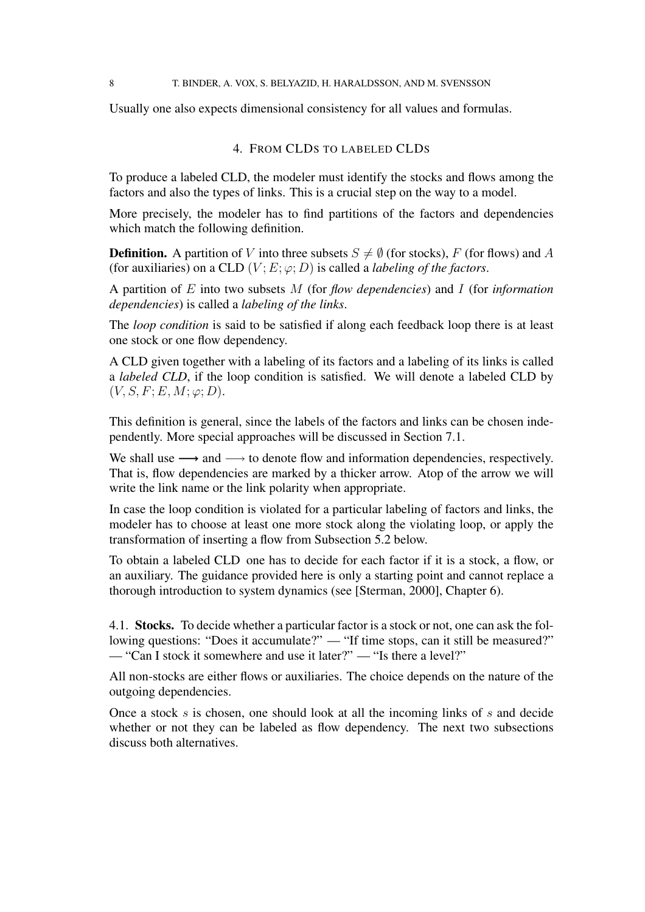Usually one also expects dimensional consistency for all values and formulas.

# 4. FROM CLDS TO LABELED CLDS

To produce a labeled CLD, the modeler must identify the stocks and flows among the factors and also the types of links. This is a crucial step on the way to a model.

More precisely, the modeler has to find partitions of the factors and dependencies which match the following definition.

**Definition.** A partition of V into three subsets  $S \neq \emptyset$  (for stocks), F (for flows) and A (for auxiliaries) on a CLD  $(V; E; \varphi; D)$  is called a *labeling of the factors*.

A partition of E into two subsets M (for *flow dependencies*) and I (for *information dependencies*) is called a *labeling of the links*.

The *loop condition* is said to be satisfied if along each feedback loop there is at least one stock or one flow dependency.

A CLD given together with a labeling of its factors and a labeling of its links is called a *labeled CLD*, if the loop condition is satisfied. We will denote a labeled CLD by  $(V, S, F; E, M; \varphi; D).$ 

This definition is general, since the labels of the factors and links can be chosen independently. More special approaches will be discussed in Section 7.1.

We shall use  $\longrightarrow$  and  $\longrightarrow$  to denote flow and information dependencies, respectively. That is, flow dependencies are marked by a thicker arrow. Atop of the arrow we will write the link name or the link polarity when appropriate.

In case the loop condition is violated for a particular labeling of factors and links, the modeler has to choose at least one more stock along the violating loop, or apply the transformation of inserting a flow from Subsection 5.2 below.

To obtain a labeled CLD one has to decide for each factor if it is a stock, a flow, or an auxiliary. The guidance provided here is only a starting point and cannot replace a thorough introduction to system dynamics (see [Sterman, 2000], Chapter 6).

4.1. **Stocks.** To decide whether a particular factor is a stock or not, one can ask the following questions: "Does it accumulate?" — "If time stops, can it still be measured?" — "Can I stock it somewhere and use it later?" — "Is there a level?"

All non-stocks are either flows or auxiliaries. The choice depends on the nature of the outgoing dependencies.

Once a stock  $s$  is chosen, one should look at all the incoming links of  $s$  and decide whether or not they can be labeled as flow dependency. The next two subsections discuss both alternatives.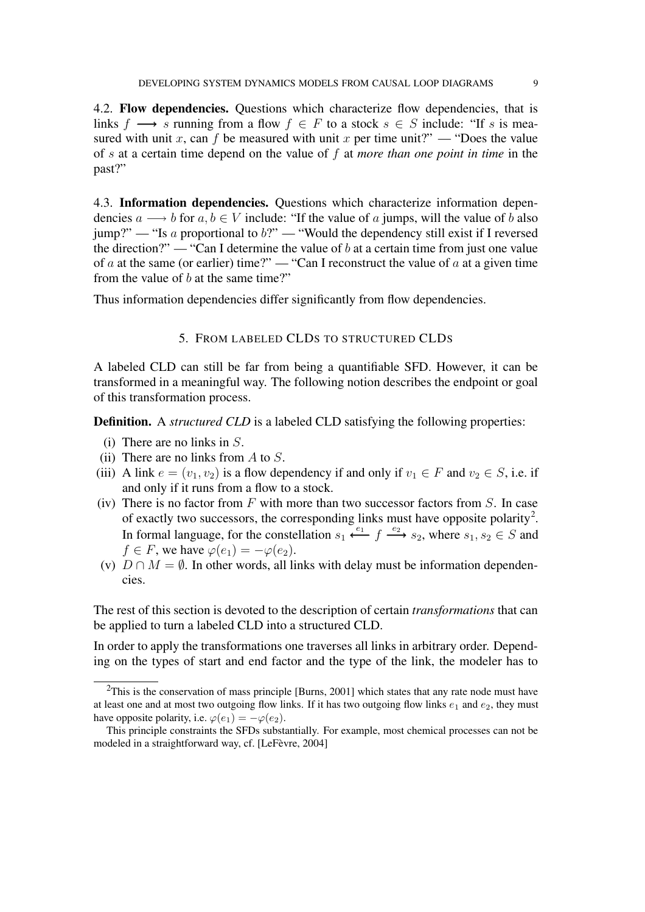4.2. **Flow dependencies.** Questions which characterize flow dependencies, that is links f  $\longrightarrow$  s running from a flow  $f \in F$  to a stock  $s \in S$  include: "If s is measured with unit x, can f be measured with unit x per time unit?" — "Does the value of s at a certain time depend on the value of f at *more than one point in time* in the past?"

4.3. **Information dependencies.** Questions which characterize information dependencies  $a \rightarrow b$  for  $a, b \in V$  include: "If the value of a jumps, will the value of b also  $jump$ <sup>2</sup> — "Is a proportional to b?" — "Would the dependency still exist if I reversed the direction?" — "Can I determine the value of  $b$  at a certain time from just one value of a at the same (or earlier) time?" — "Can I reconstruct the value of  $a$  at a given time from the value of  $b$  at the same time?"

Thus information dependencies differ significantly from flow dependencies.

# 5. FROM LABELED CLDS TO STRUCTURED CLDS

A labeled CLD can still be far from being a quantifiable SFD. However, it can be transformed in a meaningful way. The following notion describes the endpoint or goal of this transformation process.

**Definition.** A *structured CLD* is a labeled CLD satisfying the following properties:

- (i) There are no links in  $S$ .
- (ii) There are no links from  $A$  to  $S$ .
- (iii) A link  $e = (v_1, v_2)$  is a flow dependency if and only if  $v_1 \in F$  and  $v_2 \in S$ , i.e. if and only if it runs from a flow to a stock.
- (iv) There is no factor from  $F$  with more than two successor factors from  $S$ . In case of exactly two successors, the corresponding links must have opposite polarity<sup>2</sup>. In formal language, for the constellation  $s_1 \stackrel{e_1}{\longleftarrow} f \stackrel{e_2}{\longrightarrow} s_2$ , where  $s_1, s_2 \in S$  and  $f \in F$ , we have  $\varphi(e_1) = -\varphi(e_2)$ .
- (v)  $D \cap M = \emptyset$ . In other words, all links with delay must be information dependencies.

The rest of this section is devoted to the description of certain *transformations* that can be applied to turn a labeled CLD into a structured CLD.

In order to apply the transformations one traverses all links in arbitrary order. Depending on the types of start and end factor and the type of the link, the modeler has to

 $2$ This is the conservation of mass principle [Burns, 2001] which states that any rate node must have at least one and at most two outgoing flow links. If it has two outgoing flow links  $e_1$  and  $e_2$ , they must have opposite polarity, i.e.  $\varphi(e_1) = -\varphi(e_2)$ .

This principle constraints the SFDs substantially. For example, most chemical processes can not be modeled in a straightforward way, cf. [LeFèvre, 2004]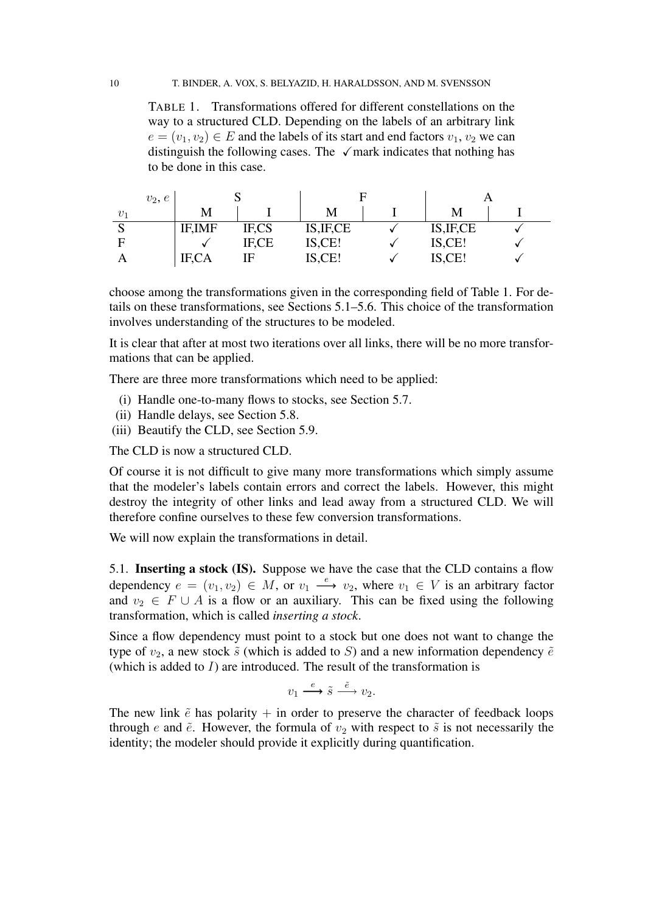TABLE 1. Transformations offered for different constellations on the way to a structured CLD. Depending on the labels of an arbitrary link  $e = (v_1, v_2) \in E$  and the labels of its start and end factors  $v_1, v_2$  we can distinguish the following cases. The  $\sqrt{m}$  mark indicates that nothing has to be done in this case.

| $v_2, e$ | ◡              |       |            |  |            |  |
|----------|----------------|-------|------------|--|------------|--|
| $v_1$    | М              |       | М          |  | M          |  |
| N        | <b>IF, IMF</b> | IF,CS | IS, IF, CE |  | IS, IF, CE |  |
|          |                | IF,CE | IS,CE!     |  | IS, CE!    |  |
|          | IF,CA          | E     | IS,CE!     |  | IS,CE!     |  |

choose among the transformations given in the corresponding field of Table 1. For details on these transformations, see Sections 5.1–5.6. This choice of the transformation involves understanding of the structures to be modeled.

It is clear that after at most two iterations over all links, there will be no more transformations that can be applied.

There are three more transformations which need to be applied:

- (i) Handle one-to-many flows to stocks, see Section 5.7.
- (ii) Handle delays, see Section 5.8.
- (iii) Beautify the CLD, see Section 5.9.

The CLD is now a structured CLD.

Of course it is not difficult to give many more transformations which simply assume that the modeler's labels contain errors and correct the labels. However, this might destroy the integrity of other links and lead away from a structured CLD. We will therefore confine ourselves to these few conversion transformations.

We will now explain the transformations in detail.

5.1. **Inserting a stock (IS).** Suppose we have the case that the CLD contains a flow dependency  $e = (v_1, v_2) \in M$ , or  $v_1 \stackrel{e}{\longrightarrow} v_2$ , where  $v_1 \in V$  is an arbitrary factor and  $v_2 \in F \cup A$  is a flow or an auxiliary. This can be fixed using the following transformation, which is called *inserting a stock*.

Since a flow dependency must point to a stock but one does not want to change the type of  $v_2$ , a new stock  $\tilde{s}$  (which is added to S) and a new information dependency  $\tilde{e}$ (which is added to  $I$ ) are introduced. The result of the transformation is

 $v_1 \xrightarrow{e} \tilde{s} \xrightarrow{\tilde{e}} v_2.$ 

The new link  $\tilde{e}$  has polarity  $+$  in order to preserve the character of feedback loops through e and  $\tilde{e}$ . However, the formula of  $v_2$  with respect to  $\tilde{s}$  is not necessarily the identity; the modeler should provide it explicitly during quantification.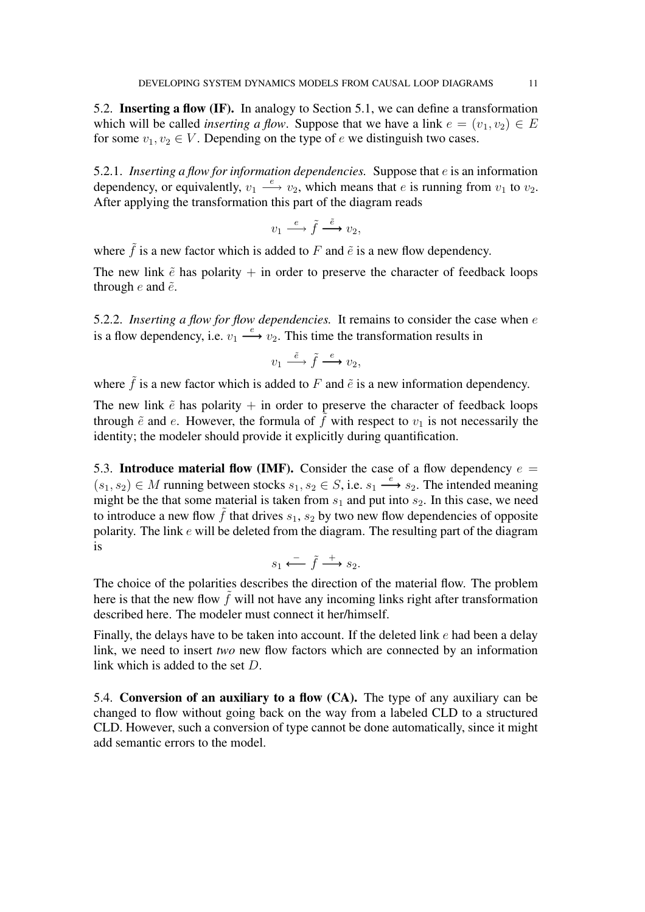5.2. **Inserting a flow (IF).** In analogy to Section 5.1, we can define a transformation which will be called *inserting* a *flow*. Suppose that we have a link  $e = (v_1, v_2) \in E$ for some  $v_1, v_2 \in V$ . Depending on the type of e we distinguish two cases.

5.2.1. *Inserting a flow for information dependencies.* Suppose that e is an information dependency, or equivalently,  $v_1 \stackrel{e}{\longrightarrow} v_2$ , which means that *e* is running from  $v_1$  to  $v_2$ . After applying the transformation this part of the diagram reads

$$
v_1 \stackrel{e}{\longrightarrow} \tilde{f} \stackrel{\tilde{e}}{\longrightarrow} v_2,
$$

where  $\tilde{f}$  is a new factor which is added to F and  $\tilde{e}$  is a new flow dependency.

The new link  $\tilde{e}$  has polarity + in order to preserve the character of feedback loops through  $e$  and  $\tilde{e}$ .

5.2.2. *Inserting a flow for flow dependencies.* It remains to consider the case when e is a flow dependency, i.e.  $v_1 \stackrel{e}{\longrightarrow} v_2$ . This time the transformation results in

$$
v_1 \stackrel{\tilde{e}}{\longrightarrow} \tilde{f} \stackrel{e}{\longrightarrow} v_2,
$$

where  $\tilde{f}$  is a new factor which is added to F and  $\tilde{e}$  is a new information dependency.

The new link  $\tilde{e}$  has polarity  $+$  in order to preserve the character of feedback loops through  $\tilde{e}$  and  $e$ . However, the formula of  $\tilde{f}$  with respect to  $v_1$  is not necessarily the identity; the modeler should provide it explicitly during quantification.

5.3. **Introduce material flow (IMF).** Consider the case of a flow dependency  $e =$  $(s_1, s_2) \in M$  running between stocks  $s_1, s_2 \in S$ , i.e.  $s_1 \xrightarrow{e} s_2$ . The intended meaning might be the that some material is taken from  $s_1$  and put into  $s_2$ . In this case, we need to introduce a new flow  $\tilde{f}$  that drives  $s_1$ ,  $s_2$  by two new flow dependencies of opposite polarity. The link e will be deleted from the diagram. The resulting part of the diagram is

$$
s_1 \xleftarrow{\phantom{a}} \tilde{f} \xrightarrow{+} s_2.
$$

The choice of the polarities describes the direction of the material flow. The problem here is that the new flow  $\tilde{f}$  will not have any incoming links right after transformation described here. The modeler must connect it her/himself.

Finally, the delays have to be taken into account. If the deleted link  $e$  had been a delay link, we need to insert *two* new flow factors which are connected by an information link which is added to the set D.

5.4. **Conversion of an auxiliary to a flow (CA).** The type of any auxiliary can be changed to flow without going back on the way from a labeled CLD to a structured CLD. However, such a conversion of type cannot be done automatically, since it might add semantic errors to the model.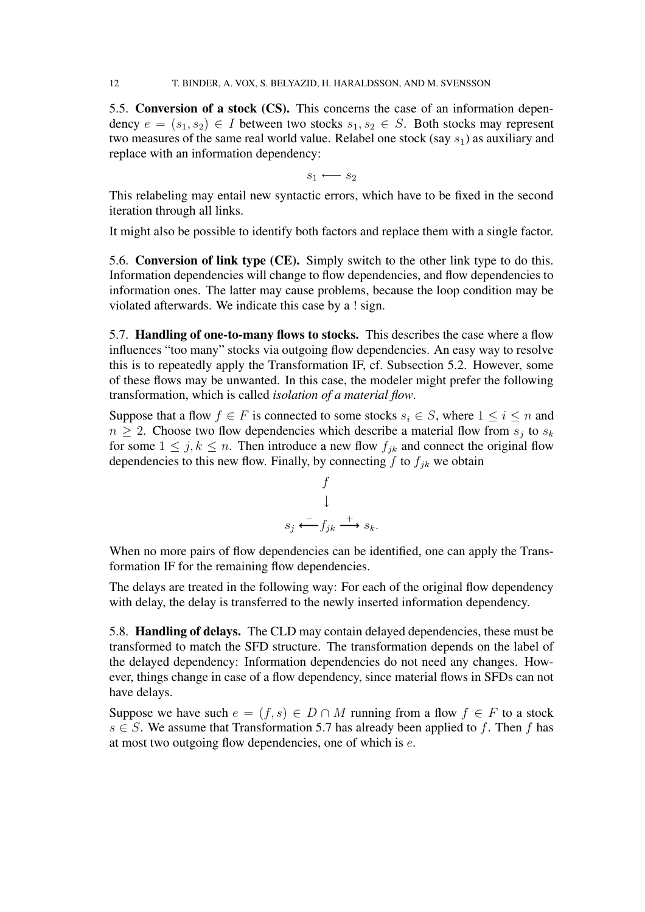5.5. **Conversion of a stock (CS).** This concerns the case of an information dependency  $e = (s_1, s_2) \in I$  between two stocks  $s_1, s_2 \in S$ . Both stocks may represent two measures of the same real world value. Relabel one stock (say  $s_1$ ) as auxiliary and replace with an information dependency:

 $s_1 \longleftarrow s_2$ 

This relabeling may entail new syntactic errors, which have to be fixed in the second iteration through all links.

It might also be possible to identify both factors and replace them with a single factor.

5.6. **Conversion of link type (CE).** Simply switch to the other link type to do this. Information dependencies will change to flow dependencies, and flow dependencies to information ones. The latter may cause problems, because the loop condition may be violated afterwards. We indicate this case by a ! sign.

5.7. **Handling of one-to-many flows to stocks.** This describes the case where a flow influences "too many" stocks via outgoing flow dependencies. An easy way to resolve this is to repeatedly apply the Transformation IF, cf. Subsection 5.2. However, some of these flows may be unwanted. In this case, the modeler might prefer the following transformation, which is called *isolation of a material flow*.

Suppose that a flow  $f \in F$  is connected to some stocks  $s_i \in S$ , where  $1 \le i \le n$  and  $n \geq 2$ . Choose two flow dependencies which describe a material flow from  $s_j$  to  $s_k$ for some  $1 \leq j, k \leq n$ . Then introduce a new flow  $f_{ik}$  and connect the original flow dependencies to this new flow. Finally, by connecting  $f$  to  $f_{ik}$  we obtain

$$
\begin{array}{ccc}\n & f & \\
 & \downarrow & \\
 & s_j & \xrightarrow{-} f_{jk} & \xrightarrow{+} s_k.\n\end{array}
$$

When no more pairs of flow dependencies can be identified, one can apply the Transformation IF for the remaining flow dependencies.

The delays are treated in the following way: For each of the original flow dependency with delay, the delay is transferred to the newly inserted information dependency.

5.8. **Handling of delays.** The CLD may contain delayed dependencies, these must be transformed to match the SFD structure. The transformation depends on the label of the delayed dependency: Information dependencies do not need any changes. However, things change in case of a flow dependency, since material flows in SFDs can not have delays.

Suppose we have such  $e = (f, s) \in D \cap M$  running from a flow  $f \in F$  to a stock  $s \in S$ . We assume that Transformation 5.7 has already been applied to f. Then f has at most two outgoing flow dependencies, one of which is  $e$ .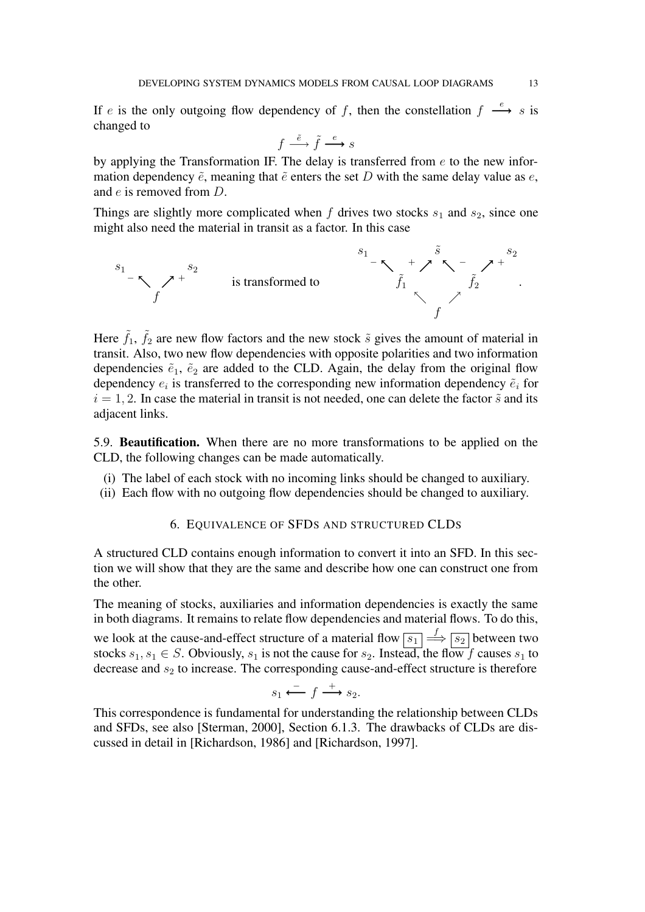If e is the only outgoing flow dependency of f, then the constellation  $f \stackrel{e}{\longrightarrow} s$  is changed to

$$
f \stackrel{\tilde{e}}{\longrightarrow} \tilde{f} \stackrel{e}{\longrightarrow} s
$$

by applying the Transformation IF. The delay is transferred from  $e$  to the new information dependency  $\tilde{e}$ , meaning that  $\tilde{e}$  enters the set D with the same delay value as e, and e is removed from D.

Things are slightly more complicated when f drives two stocks  $s_1$  and  $s_2$ , since one might also need the material in transit as a factor. In this case



Here  $\tilde{f}_1$ ,  $\tilde{f}_2$  are new flow factors and the new stock  $\tilde{s}$  gives the amount of material in transit. Also, two new flow dependencies with opposite polarities and two information dependencies  $\tilde{e}_1$ ,  $\tilde{e}_2$  are added to the CLD. Again, the delay from the original flow dependency  $e_i$  is transferred to the corresponding new information dependency  $\tilde{e}_i$  for  $i = 1, 2$ . In case the material in transit is not needed, one can delete the factor  $\tilde{s}$  and its adjacent links.

5.9. **Beautification.** When there are no more transformations to be applied on the CLD, the following changes can be made automatically.

- (i) The label of each stock with no incoming links should be changed to auxiliary.
- (ii) Each flow with no outgoing flow dependencies should be changed to auxiliary.

### 6. EQUIVALENCE OF SFDS AND STRUCTURED CLDS

A structured CLD contains enough information to convert it into an SFD. In this section we will show that they are the same and describe how one can construct one from the other.

The meaning of stocks, auxiliaries and information dependencies is exactly the same in both diagrams. It remains to relate flow dependencies and material flows. To do this, we look at the cause-and-effect structure of a material flow  $\boxed{s_1} \stackrel{f}{\Longrightarrow} \boxed{s_2}$  between two stocks  $s_1, s_1 \in S$ . Obviously,  $s_1$  is not the cause for  $s_2$ . Instead, the flow f causes  $s_1$  to decrease and  $s_2$  to increase. The corresponding cause-and-effect structure is therefore

$$
s_1 \xleftarrow{\phantom{a}} f \xrightarrow{+} s_2.
$$

This correspondence is fundamental for understanding the relationship between CLDs and SFDs, see also [Sterman, 2000], Section 6.1.3. The drawbacks of CLDs are discussed in detail in [Richardson, 1986] and [Richardson, 1997].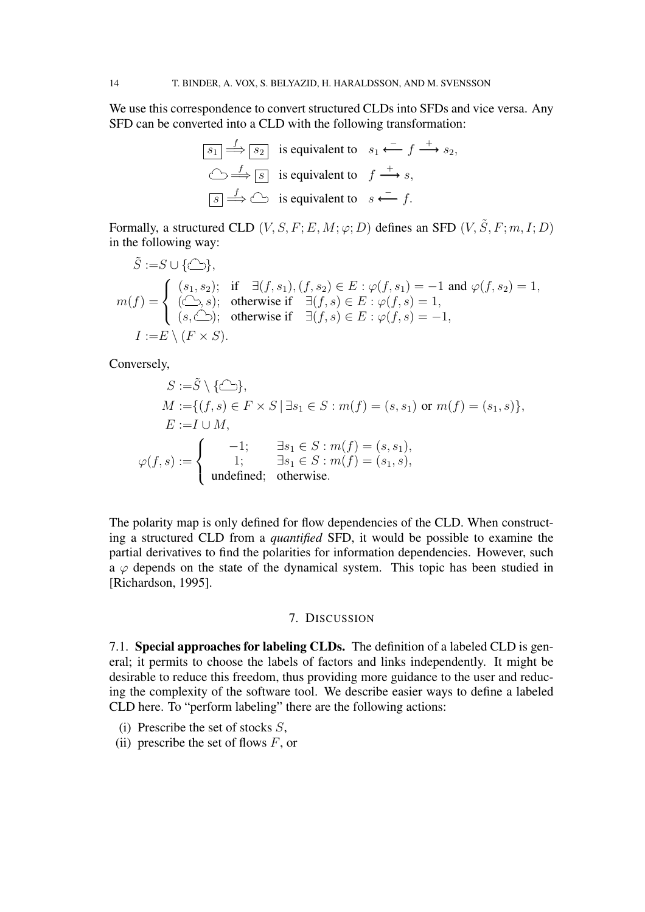We use this correspondence to convert structured CLDs into SFDs and vice versa. Any SFD can be converted into a CLD with the following transformation:

$$
\boxed{s_1 \xrightarrow{f} s_2} \text{ is equivalent to } s_1 \xleftarrow{f} \xrightarrow{+} s_2,
$$
  

$$
\text{S} \xrightarrow{f} \boxed{s} \text{ is equivalent to } f \xrightarrow{+} s,
$$
  

$$
\boxed{s} \xrightarrow{f} \text{S} \text{ is equivalent to } s \xleftarrow{f} f.
$$

Formally, a structured CLD  $(V, S, F; E, M; \varphi; D)$  defines an SFD  $(V, \tilde{S}, F; m, I; D)$ in the following way:

$$
\tilde{S} := S \cup \{\bigcirc\}.
$$
\n
$$
m(f) = \begin{cases}\n(s_1, s_2); & \text{if } \exists (f, s_1), (f, s_2) \in E : \varphi(f, s_1) = -1 \text{ and } \varphi(f, s_2) = 1, \\
(\bigcirc f, s); & \text{otherwise if } \exists (f, s) \in E : \varphi(f, s) = 1, \\
(s, \bigcirc f); & \text{otherwise if } \exists (f, s) \in E : \varphi(f, s) = -1,\n\end{cases}
$$
\n
$$
I := E \setminus (F \times S).
$$

Conversely,

$$
S := \tilde{S} \setminus \{\bigcirc\}
$$
\n
$$
M := \{(f, s) \in F \times S \mid \exists s_1 \in S : m(f) = (s, s_1) \text{ or } m(f) = (s_1, s)\},
$$
\n
$$
E := I \cup M,
$$
\n
$$
\varphi(f, s) := \begin{cases}\n-1; & \exists s_1 \in S : m(f) = (s, s_1), \\
1; & \exists s_1 \in S : m(f) = (s_1, s), \\
\text{undefined}; & \text{otherwise.}\n\end{cases}
$$

The polarity map is only defined for flow dependencies of the CLD. When constructing a structured CLD from a *quantified* SFD, it would be possible to examine the partial derivatives to find the polarities for information dependencies. However, such  $\overline{a} \varphi$  depends on the state of the dynamical system. This topic has been studied in [Richardson, 1995].

### 7. DISCUSSION

7.1. **Special approaches for labeling CLDs.** The definition of a labeled CLD is general; it permits to choose the labels of factors and links independently. It might be desirable to reduce this freedom, thus providing more guidance to the user and reducing the complexity of the software tool. We describe easier ways to define a labeled CLD here. To "perform labeling" there are the following actions:

- (i) Prescribe the set of stocks  $S$ ,
- (ii) prescribe the set of flows  $F$ , or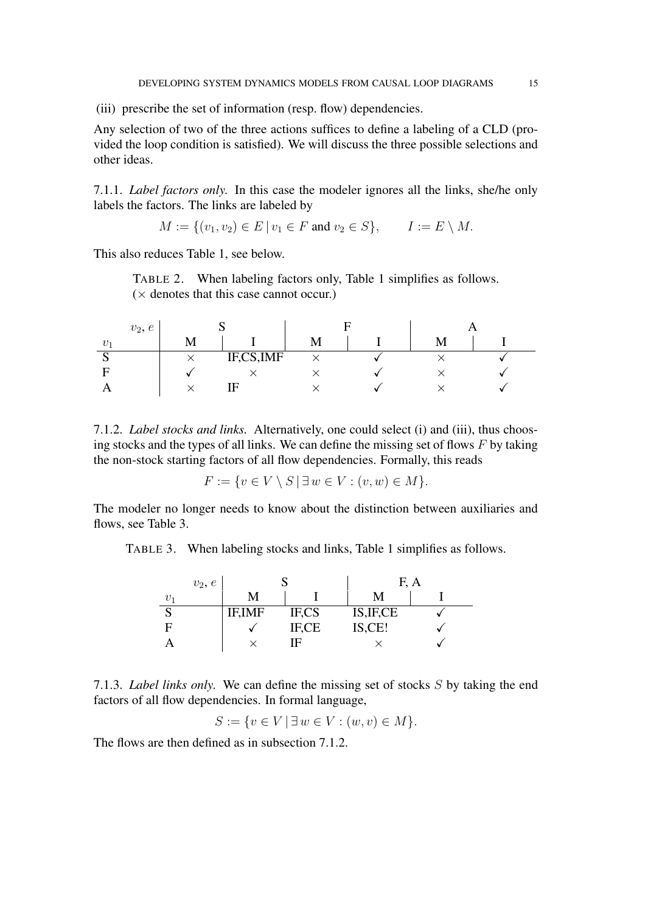(iii) prescribe the set of information (resp. flow) dependencies.

Any selection of two of the three actions suffices to define a labeling of a CLD (provided the loop condition is satisfied). We will discuss the three possible selections and other ideas.

7.1.1. *Label factors only.* In this case the modeler ignores all the links, she/he only labels the factors. The links are labeled by

$$
M := \{(v_1, v_2) \in E \mid v_1 \in F \text{ and } v_2 \in S\}, \qquad I := E \setminus M.
$$

This also reduces Table 1, see below.

TABLE 2. When labeling factors only, Table 1 simplifies as follows.  $(x$  denotes that this case cannot occur.)

| $v_2, e$ |   |           |  |  |  |  |
|----------|---|-----------|--|--|--|--|
| $\eta$ . | M |           |  |  |  |  |
| N        |   | IF,CS,IMF |  |  |  |  |
|          |   |           |  |  |  |  |
|          |   | н         |  |  |  |  |

7.1.2. *Label stocks and links.* Alternatively, one could select (i) and (iii), thus choosing stocks and the types of all links. We can define the missing set of flows  $F$  by taking the non-stock starting factors of all flow dependencies. Formally, this reads

$$
F := \{ v \in V \setminus S \mid \exists w \in V : (v, w) \in M \}.
$$

The modeler no longer needs to know about the distinction between auxiliaries and flows, see Table 3.

TABLE 3. When labeling stocks and links, Table 1 simplifies as follows.

| $v_2, e$ |                |       | F          | A |
|----------|----------------|-------|------------|---|
| $v_{1}$  | М              |       | М          |   |
|          | <b>IF, IMF</b> | IF,CS | IS, IF, CE |   |
| F        |                | IF,CE | IS,CE!     |   |
|          |                | ΙF    |            |   |

7.1.3. *Label links only.* We can define the missing set of stocks S by taking the end factors of all flow dependencies. In formal language,

 $S := \{v \in V \mid \exists w \in V : (w, v) \in M\}.$ 

The flows are then defined as in subsection 7.1.2.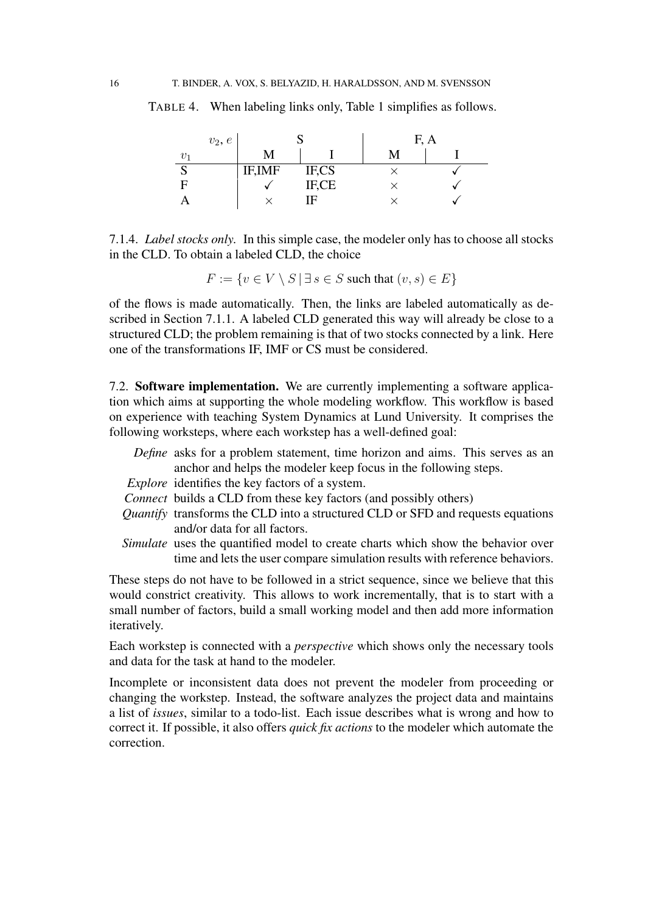|             | $v_2, e$ |        |       | F, A |
|-------------|----------|--------|-------|------|
| $v_1$       |          |        |       |      |
| $\sim$<br>N |          | IF,IMF | IF,CS |      |
| F           |          |        | IF,CE |      |
|             |          |        | IF    |      |

TABLE 4. When labeling links only, Table 1 simplifies as follows.

7.1.4. *Label stocks only.* In this simple case, the modeler only has to choose all stocks in the CLD. To obtain a labeled CLD, the choice

 $F := \{v \in V \setminus S \mid \exists s \in S \text{ such that } (v, s) \in E\}$ 

of the flows is made automatically. Then, the links are labeled automatically as described in Section 7.1.1. A labeled CLD generated this way will already be close to a structured CLD; the problem remaining is that of two stocks connected by a link. Here one of the transformations IF, IMF or CS must be considered.

7.2. **Software implementation.** We are currently implementing a software application which aims at supporting the whole modeling workflow. This workflow is based on experience with teaching System Dynamics at Lund University. It comprises the following worksteps, where each workstep has a well-defined goal:

*Define* asks for a problem statement, time horizon and aims. This serves as an anchor and helps the modeler keep focus in the following steps. *Explore* identifies the key factors of a system. *Connect* builds a CLD from these key factors (and possibly others) *Quantify* transforms the CLD into a structured CLD or SFD and requests equations and/or data for all factors. *Simulate* uses the quantified model to create charts which show the behavior over time and lets the user compare simulation results with reference behaviors.

These steps do not have to be followed in a strict sequence, since we believe that this would constrict creativity. This allows to work incrementally, that is to start with a small number of factors, build a small working model and then add more information iteratively.

Each workstep is connected with a *perspective* which shows only the necessary tools and data for the task at hand to the modeler.

Incomplete or inconsistent data does not prevent the modeler from proceeding or changing the workstep. Instead, the software analyzes the project data and maintains a list of *issues*, similar to a todo-list. Each issue describes what is wrong and how to correct it. If possible, it also offers *quick fix actions* to the modeler which automate the correction.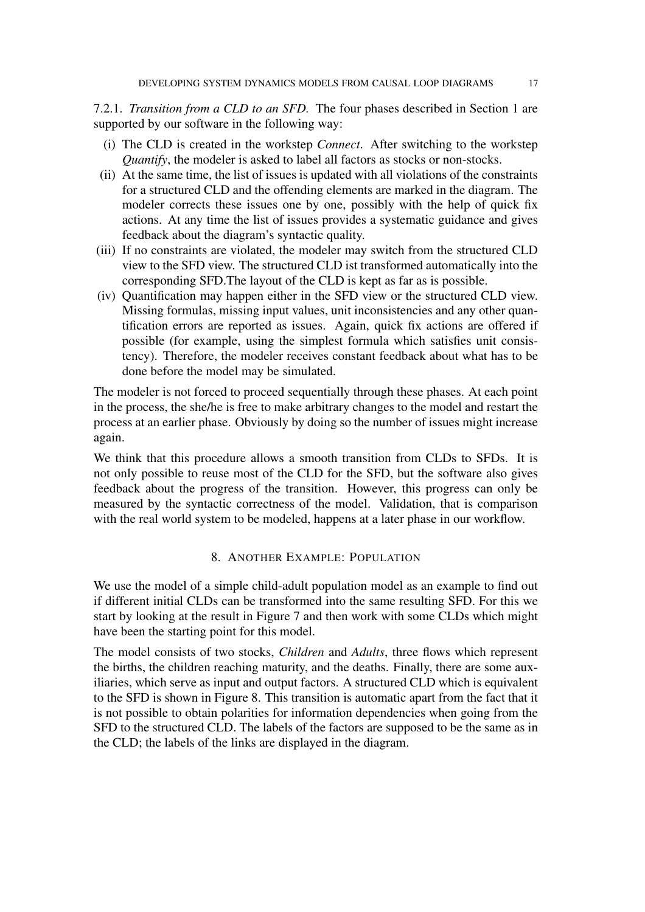7.2.1. *Transition from a CLD to an SFD.* The four phases described in Section 1 are supported by our software in the following way:

- (i) The CLD is created in the workstep *Connect*. After switching to the workstep *Quantify*, the modeler is asked to label all factors as stocks or non-stocks.
- (ii) At the same time, the list of issues is updated with all violations of the constraints for a structured CLD and the offending elements are marked in the diagram. The modeler corrects these issues one by one, possibly with the help of quick fix actions. At any time the list of issues provides a systematic guidance and gives feedback about the diagram's syntactic quality.
- (iii) If no constraints are violated, the modeler may switch from the structured CLD view to the SFD view. The structured CLD ist transformed automatically into the corresponding SFD.The layout of the CLD is kept as far as is possible.
- (iv) Quantification may happen either in the SFD view or the structured CLD view. Missing formulas, missing input values, unit inconsistencies and any other quantification errors are reported as issues. Again, quick fix actions are offered if possible (for example, using the simplest formula which satisfies unit consistency). Therefore, the modeler receives constant feedback about what has to be done before the model may be simulated.

The modeler is not forced to proceed sequentially through these phases. At each point in the process, the she/he is free to make arbitrary changes to the model and restart the process at an earlier phase. Obviously by doing so the number of issues might increase again.

We think that this procedure allows a smooth transition from CLDs to SFDs. It is not only possible to reuse most of the CLD for the SFD, but the software also gives feedback about the progress of the transition. However, this progress can only be measured by the syntactic correctness of the model. Validation, that is comparison with the real world system to be modeled, happens at a later phase in our workflow.

## 8. ANOTHER EXAMPLE: POPULATION

We use the model of a simple child-adult population model as an example to find out if different initial CLDs can be transformed into the same resulting SFD. For this we start by looking at the result in Figure 7 and then work with some CLDs which might have been the starting point for this model.

The model consists of two stocks, *Children* and *Adults*, three flows which represent the births, the children reaching maturity, and the deaths. Finally, there are some auxiliaries, which serve as input and output factors. A structured CLD which is equivalent to the SFD is shown in Figure 8. This transition is automatic apart from the fact that it is not possible to obtain polarities for information dependencies when going from the SFD to the structured CLD. The labels of the factors are supposed to be the same as in the CLD; the labels of the links are displayed in the diagram.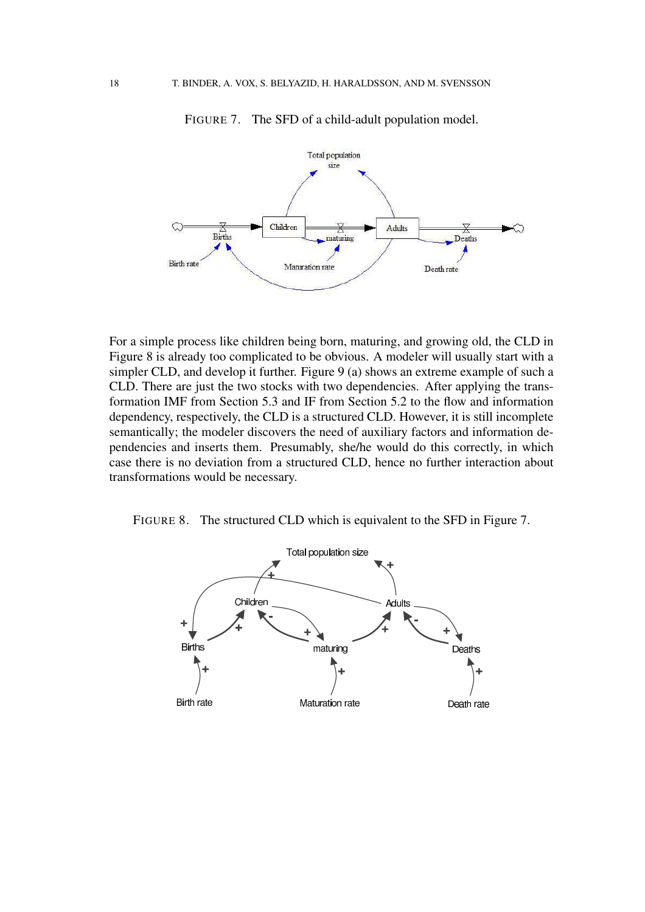

FIGURE 7. The SFD of a child-adult population model.

For a simple process like children being born, maturing, and growing old, the CLD in Figure 8 is already too complicated to be obvious. A modeler will usually start with a simpler CLD, and develop it further. Figure 9 (a) shows an extreme example of such a CLD. There are just the two stocks with two dependencies. After applying the transformation IMF from Section 5.3 and IF from Section 5.2 to the flow and information dependency, respectively, the CLD is a structured CLD. However, it is still incomplete semantically; the modeler discovers the need of auxiliary factors and information dependencies and inserts them. Presumably, she/he would do this correctly, in which case there is no deviation from a structured CLD, hence no further interaction about transformations would be necessary.

FIGURE 8. The structured CLD which is equivalent to the SFD in Figure 7.

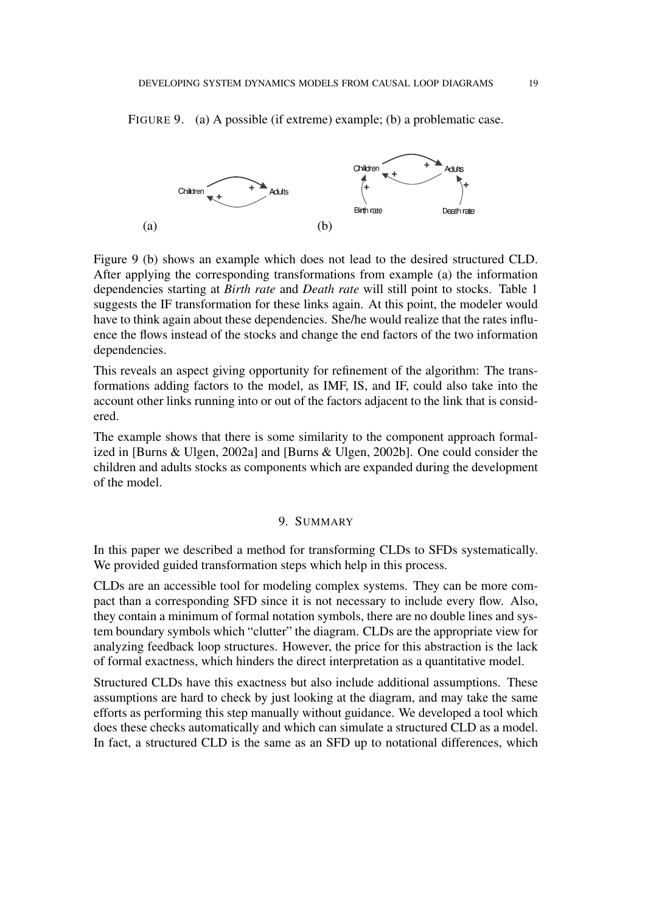FIGURE 9. (a) A possible (if extreme) example; (b) a problematic case.



Figure 9 (b) shows an example which does not lead to the desired structured CLD. After applying the corresponding transformations from example (a) the information dependencies starting at *Birth rate* and *Death rate* will still point to stocks. Table 1 suggests the IF transformation for these links again. At this point, the modeler would have to think again about these dependencies. She/he would realize that the rates influence the flows instead of the stocks and change the end factors of the two information dependencies.

This reveals an aspect giving opportunity for refinement of the algorithm: The transformations adding factors to the model, as IMF, IS, and IF, could also take into the account other links running into or out of the factors adjacent to the link that is considered.

The example shows that there is some similarity to the component approach formalized in [Burns & Ulgen, 2002a] and [Burns & Ulgen, 2002b]. One could consider the children and adults stocks as components which are expanded during the development of the model.

# 9. SUMMARY

In this paper we described a method for transforming CLDs to SFDs systematically. We provided guided transformation steps which help in this process.

CLDs are an accessible tool for modeling complex systems. They can be more compact than a corresponding SFD since it is not necessary to include every flow. Also, they contain a minimum of formal notation symbols, there are no double lines and system boundary symbols which "clutter" the diagram. CLDs are the appropriate view for analyzing feedback loop structures. However, the price for this abstraction is the lack of formal exactness, which hinders the direct interpretation as a quantitative model.

Structured CLDs have this exactness but also include additional assumptions. These assumptions are hard to check by just looking at the diagram, and may take the same efforts as performing this step manually without guidance. We developed a tool which does these checks automatically and which can simulate a structured CLD as a model. In fact, a structured CLD is the same as an SFD up to notational differences, which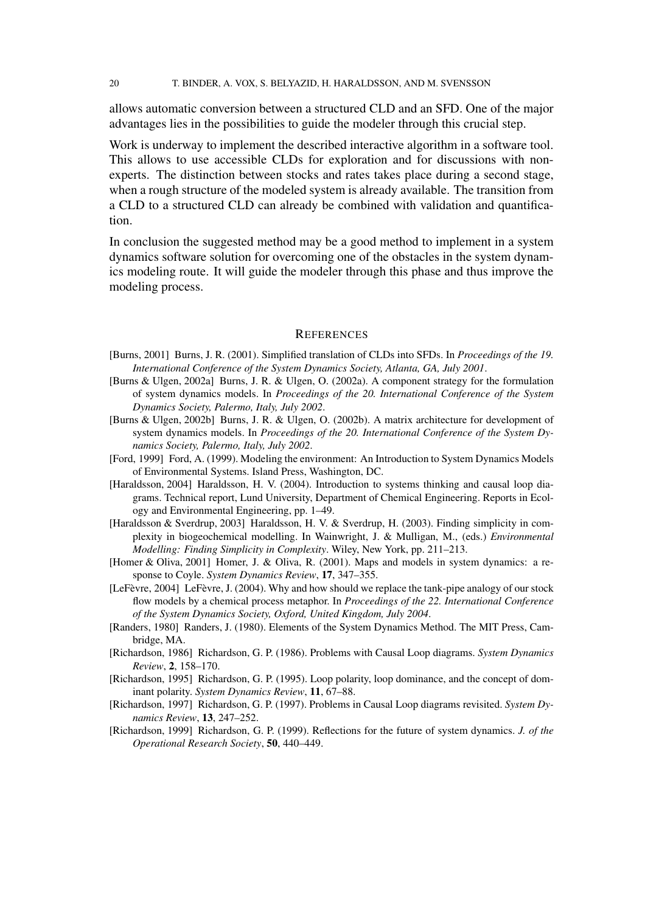20 T. BINDER, A. VOX, S. BELYAZID, H. HARALDSSON, AND M. SVENSSON

allows automatic conversion between a structured CLD and an SFD. One of the major advantages lies in the possibilities to guide the modeler through this crucial step.

Work is underway to implement the described interactive algorithm in a software tool. This allows to use accessible CLDs for exploration and for discussions with nonexperts. The distinction between stocks and rates takes place during a second stage, when a rough structure of the modeled system is already available. The transition from a CLD to a structured CLD can already be combined with validation and quantification.

In conclusion the suggested method may be a good method to implement in a system dynamics software solution for overcoming one of the obstacles in the system dynamics modeling route. It will guide the modeler through this phase and thus improve the modeling process.

#### **REFERENCES**

- [Burns, 2001] Burns, J. R. (2001). Simplified translation of CLDs into SFDs. In *Proceedings of the 19. International Conference of the System Dynamics Society, Atlanta, GA, July 2001*.
- [Burns & Ulgen, 2002a] Burns, J. R. & Ulgen, O. (2002a). A component strategy for the formulation of system dynamics models. In *Proceedings of the 20. International Conference of the System Dynamics Society, Palermo, Italy, July 2002*.
- [Burns & Ulgen, 2002b] Burns, J. R. & Ulgen, O. (2002b). A matrix architecture for development of system dynamics models. In *Proceedings of the 20. International Conference of the System Dynamics Society, Palermo, Italy, July 2002*.
- [Ford, 1999] Ford, A. (1999). Modeling the environment: An Introduction to System Dynamics Models of Environmental Systems. Island Press, Washington, DC.
- [Haraldsson, 2004] Haraldsson, H. V. (2004). Introduction to systems thinking and causal loop diagrams. Technical report, Lund University, Department of Chemical Engineering. Reports in Ecology and Environmental Engineering, pp. 1–49.
- [Haraldsson & Sverdrup, 2003] Haraldsson, H. V. & Sverdrup, H. (2003). Finding simplicity in complexity in biogeochemical modelling. In Wainwright, J. & Mulligan, M., (eds.) *Environmental Modelling: Finding Simplicity in Complexity*. Wiley, New York, pp. 211–213.
- [Homer & Oliva, 2001] Homer, J. & Oliva, R. (2001). Maps and models in system dynamics: a response to Coyle. *System Dynamics Review*, **17**, 347–355.
- [LeFevre, 2004] LeFevre, J. (2004). Why and how should we replace the tank-pipe analogy of our stock flow models by a chemical process metaphor. In *Proceedings of the 22. International Conference of the System Dynamics Society, Oxford, United Kingdom, July 2004*.
- [Randers, 1980] Randers, J. (1980). Elements of the System Dynamics Method. The MIT Press, Cambridge, MA.
- [Richardson, 1986] Richardson, G. P. (1986). Problems with Causal Loop diagrams. *System Dynamics Review*, **2**, 158–170.
- [Richardson, 1995] Richardson, G. P. (1995). Loop polarity, loop dominance, and the concept of dominant polarity. *System Dynamics Review*, **11**, 67–88.
- [Richardson, 1997] Richardson, G. P. (1997). Problems in Causal Loop diagrams revisited. *System Dynamics Review*, **13**, 247–252.
- [Richardson, 1999] Richardson, G. P. (1999). Reflections for the future of system dynamics. *J. of the Operational Research Society*, **50**, 440–449.